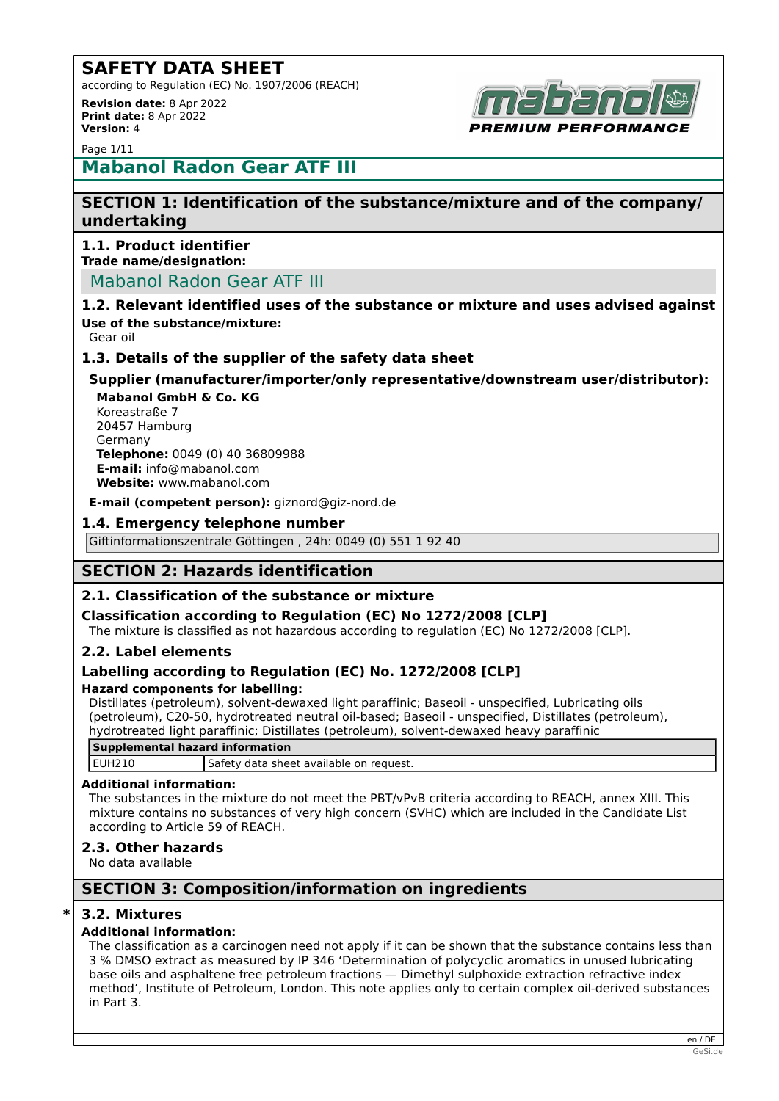according to Regulation (EC) No. 1907/2006 (REACH) **Revision date:** 8 Apr 2022 **Print date:** 8 Apr 2022



**Version:** 4 Page 1/11

## **Mabanol Radon Gear ATF III**

## **SECTION 1: Identification of the substance/mixture and of the company/ undertaking**

## **1.1. Product identifier**

**Trade name/designation:**

## Mabanol Radon Gear ATF III

#### **1.2. Relevant identified uses of the substance or mixture and uses advised against Use of the substance/mixture:**

Gear oil

## **1.3. Details of the supplier of the safety data sheet**

**Supplier (manufacturer/importer/only representative/downstream user/distributor):**

**Mabanol GmbH & Co. KG** Koreastraße 7 20457 Hamburg Germany **Telephone:** 0049 (0) 40 36809988 **E-mail:** info@mabanol.com **Website:** www.mabanol.com

**E-mail (competent person):** giznord@giz-nord.de

### **1.4. Emergency telephone number**

Giftinformationszentrale Göttingen , 24h: 0049 (0) 551 1 92 40

## **SECTION 2: Hazards identification**

## **2.1. Classification of the substance or mixture**

## **Classification according to Regulation (EC) No 1272/2008 [CLP]**

The mixture is classified as not hazardous according to regulation (EC) No 1272/2008 [CLP].

## **2.2. Label elements**

## **Labelling according to Regulation (EC) No. 1272/2008 [CLP]**

#### **Hazard components for labelling:**

Distillates (petroleum), solvent-dewaxed light paraffinic; Baseoil - unspecified, Lubricating oils (petroleum), C20-50, hydrotreated neutral oil-based; Baseoil - unspecified, Distillates (petroleum), hydrotreated light paraffinic; Distillates (petroleum), solvent-dewaxed heavy paraffinic

## **Supplemental hazard information**

EUH210 Safety data sheet available on request.

#### **Additional information:**

The substances in the mixture do not meet the PBT/vPvB criteria according to REACH, annex XIII. This mixture contains no substances of very high concern (SVHC) which are included in the Candidate List according to Article 59 of REACH.

#### **2.3. Other hazards**

No data available

## **SECTION 3: Composition/information on ingredients**

#### **\* 3.2. Mixtures**

#### **Additional information:**

The classification as a carcinogen need not apply if it can be shown that the substance contains less than 3 % DMSO extract as measured by IP 346 'Determination of polycyclic aromatics in unused lubricating base oils and asphaltene free petroleum fractions — Dimethyl sulphoxide extraction refractive index method', Institute of Petroleum, London. This note applies only to certain complex oil-derived substances in Part 3.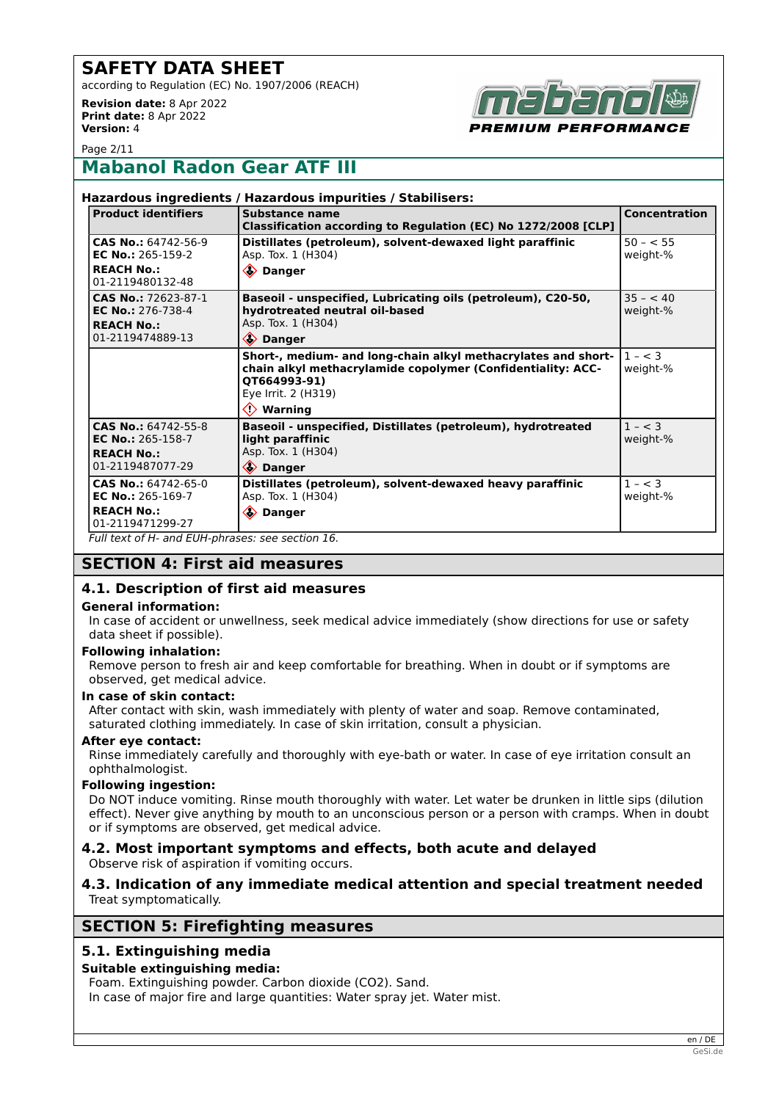according to Regulation (EC) No. 1907/2006 (REACH)

**Revision date:** 8 Apr 2022 **Print date:** 8 Apr 2022 **Version:** 4



Page 2/11

## **Mabanol Radon Gear ATF III**

|                                                                                                                                       | Hazardous ingredients / Hazardous impurities / Stabilisers:                                                                                                                               |                       |
|---------------------------------------------------------------------------------------------------------------------------------------|-------------------------------------------------------------------------------------------------------------------------------------------------------------------------------------------|-----------------------|
| <b>Product identifiers</b>                                                                                                            | <b>Substance name</b><br>Classification according to Regulation (EC) No 1272/2008 [CLP]                                                                                                   | <b>Concentration</b>  |
| CAS No.: 64742-56-9<br><b>EC No.: 265-159-2</b><br><b>REACH No.:</b><br>01-2119480132-48                                              | Distillates (petroleum), solvent-dewaxed light paraffinic<br>Asp. Tox. 1 (H304)<br>♦ Danger                                                                                               | $50 - 55$<br>weight-% |
| CAS No.: 72623-87-1<br><b>EC No.: 276-738-4</b><br><b>REACH No.:</b><br>01-2119474889-13                                              | Baseoil - unspecified, Lubricating oils (petroleum), C20-50,<br>hydrotreated neutral oil-based<br>Asp. Tox. 1 (H304)<br>♦ Danger                                                          | $35 - 40$<br>weight-% |
|                                                                                                                                       | Short-, medium- and long-chain alkyl methacrylates and short-<br>chain alkyl methacrylamide copolymer (Confidentiality: ACC-<br>QT664993-91)<br>Eye Irrit. 2 (H319)<br>$\Diamond$ Warning | $1 - < 3$<br>weight-% |
| $CAS No.: 64742-55-8$<br><b>EC No.: 265-158-7</b><br><b>REACH No.:</b><br>01-2119487077-29                                            | Baseoil - unspecified, Distillates (petroleum), hydrotreated<br>light paraffinic<br>Asp. Tox. 1 (H304)<br>♦ Danger                                                                        | $1 - < 3$<br>weight-% |
| CAS No.: 64742-65-0<br>EC No.: 265-169-7<br><b>REACH No.:</b><br>01-2119471299-27<br>Full text of H- and EUH-phrases: see section 16. | Distillates (petroleum), solvent-dewaxed heavy paraffinic<br>Asp. Tox. 1 (H304)<br><b>♦ Danger</b>                                                                                        | $1 - < 3$<br>weight-% |

## **SECTION 4: First aid measures**

## **4.1. Description of first aid measures**

#### **General information:**

In case of accident or unwellness, seek medical advice immediately (show directions for use or safety data sheet if possible).

#### **Following inhalation:**

Remove person to fresh air and keep comfortable for breathing. When in doubt or if symptoms are observed, get medical advice.

#### **In case of skin contact:**

After contact with skin, wash immediately with plenty of water and soap. Remove contaminated, saturated clothing immediately. In case of skin irritation, consult a physician.

#### **After eye contact:**

Rinse immediately carefully and thoroughly with eye-bath or water. In case of eye irritation consult an ophthalmologist.

#### **Following ingestion:**

Do NOT induce vomiting. Rinse mouth thoroughly with water. Let water be drunken in little sips (dilution effect). Never give anything by mouth to an unconscious person or a person with cramps. When in doubt or if symptoms are observed, get medical advice.

#### **4.2. Most important symptoms and effects, both acute and delayed** Observe risk of aspiration if vomiting occurs.

#### **4.3. Indication of any immediate medical attention and special treatment needed** Treat symptomatically.

## **SECTION 5: Firefighting measures**

## **5.1. Extinguishing media**

#### **Suitable extinguishing media:**

Foam. Extinguishing powder. Carbon dioxide (CO2). Sand.

In case of major fire and large quantities: Water spray jet. Water mist.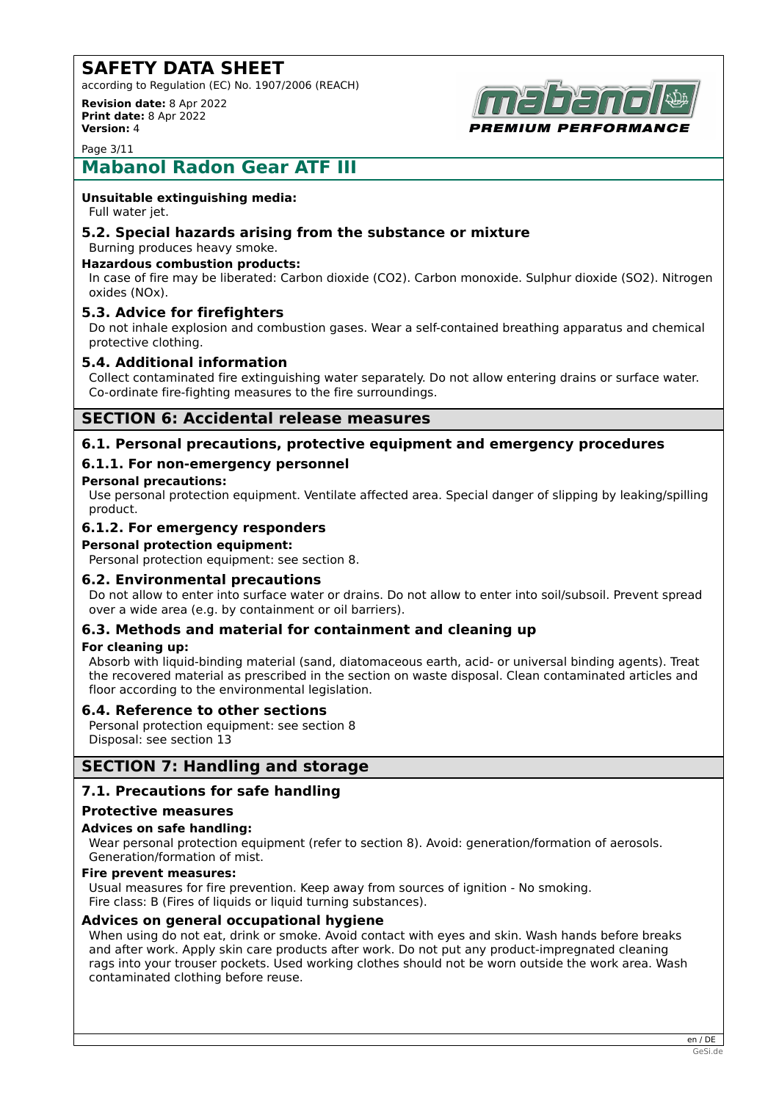according to Regulation (EC) No. 1907/2006 (REACH)

**Revision date:** 8 Apr 2022 **Print date:** 8 Apr 2022 **Version:** 4



Page 3/11

# **Mabanol Radon Gear ATF III**

#### **Unsuitable extinguishing media:**

Full water jet.

#### **5.2. Special hazards arising from the substance or mixture** Burning produces heavy smoke.

## **Hazardous combustion products:**

In case of fire may be liberated: Carbon dioxide (CO2). Carbon monoxide. Sulphur dioxide (SO2). Nitrogen oxides (NOx).

### **5.3. Advice for firefighters**

Do not inhale explosion and combustion gases. Wear a self-contained breathing apparatus and chemical protective clothing.

#### **5.4. Additional information**

Collect contaminated fire extinguishing water separately. Do not allow entering drains or surface water. Co-ordinate fire-fighting measures to the fire surroundings.

## **SECTION 6: Accidental release measures**

### **6.1. Personal precautions, protective equipment and emergency procedures**

#### **6.1.1. For non-emergency personnel**

#### **Personal precautions:**

Use personal protection equipment. Ventilate affected area. Special danger of slipping by leaking/spilling product.

#### **6.1.2. For emergency responders**

#### **Personal protection equipment:**

Personal protection equipment: see section 8.

#### **6.2. Environmental precautions**

Do not allow to enter into surface water or drains. Do not allow to enter into soil/subsoil. Prevent spread over a wide area (e.g. by containment or oil barriers).

#### **6.3. Methods and material for containment and cleaning up**

#### **For cleaning up:**

Absorb with liquid-binding material (sand, diatomaceous earth, acid- or universal binding agents). Treat the recovered material as prescribed in the section on waste disposal. Clean contaminated articles and floor according to the environmental legislation.

#### **6.4. Reference to other sections**

Personal protection equipment: see section 8 Disposal: see section 13

## **SECTION 7: Handling and storage**

#### **7.1. Precautions for safe handling**

#### **Protective measures**

#### **Advices on safe handling:**

Wear personal protection equipment (refer to section 8). Avoid: generation/formation of aerosols. Generation/formation of mist.

#### **Fire prevent measures:**

Usual measures for fire prevention. Keep away from sources of ignition - No smoking. Fire class: B (Fires of liquids or liquid turning substances).

#### **Advices on general occupational hygiene**

When using do not eat, drink or smoke. Avoid contact with eyes and skin. Wash hands before breaks and after work. Apply skin care products after work. Do not put any product-impregnated cleaning rags into your trouser pockets. Used working clothes should not be worn outside the work area. Wash contaminated clothing before reuse.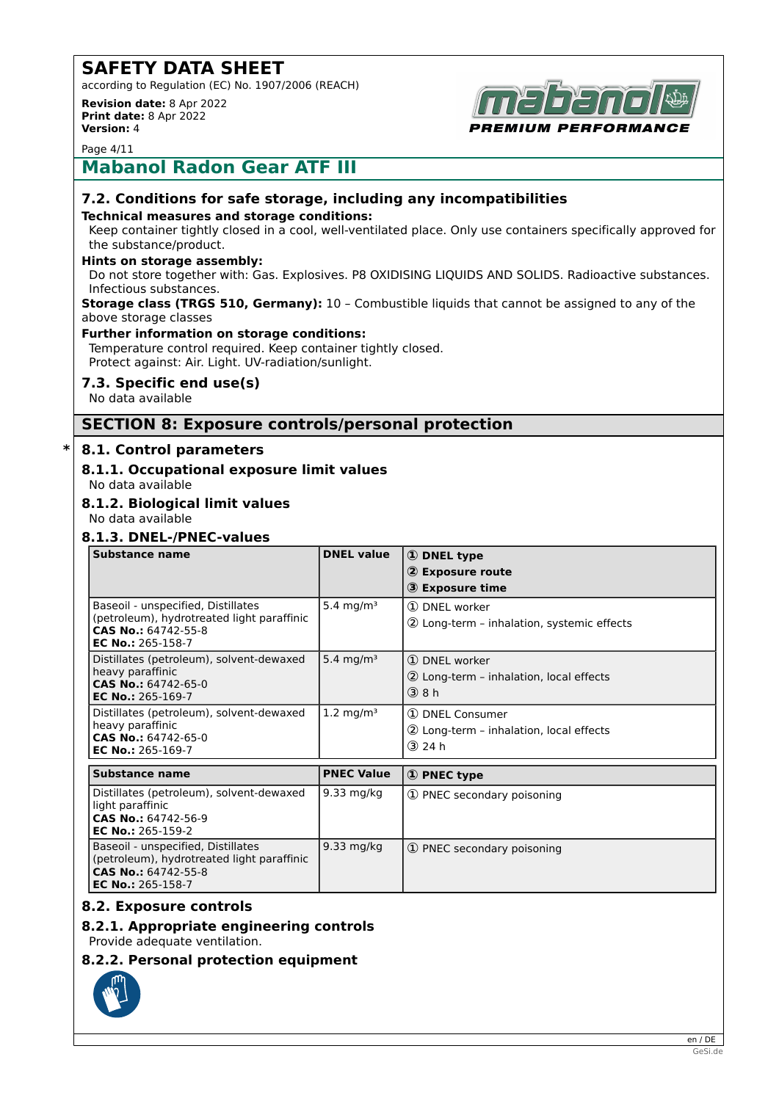according to Regulation (EC) No. 1907/2006 (REACH)

**Revision date:** 8 Apr 2022 **Print date:** 8 Apr 2022 **Version:** 4



Page 4/11

## **Mabanol Radon Gear ATF III**

## **7.2. Conditions for safe storage, including any incompatibilities**

#### **Technical measures and storage conditions:**

Keep container tightly closed in a cool, well-ventilated place. Only use containers specifically approved for the substance/product.

#### **Hints on storage assembly:**

Do not store together with: Gas. Explosives. P8 OXIDISING LIQUIDS AND SOLIDS. Radioactive substances. Infectious substances.

#### **Storage class (TRGS 510, Germany):** 10 – Combustible liquids that cannot be assigned to any of the above storage classes

#### **Further information on storage conditions:**

Temperature control required. Keep container tightly closed. Protect against: Air. Light. UV-radiation/sunlight.

### **7.3. Specific end use(s)**

No data available

## **SECTION 8: Exposure controls/personal protection**

#### **\* 8.1. Control parameters**

# **8.1.1. Occupational exposure limit values**

No data available

## **8.1.2. Biological limit values**

No data available

### **8.1.3. DNEL-/PNEC-values**

| Substance name                                                    | <b>DNEL value</b>     | 1 DNEL type                                |
|-------------------------------------------------------------------|-----------------------|--------------------------------------------|
|                                                                   |                       | 2 Exposure route                           |
|                                                                   |                       | 3 Exposure time                            |
| Baseoil - unspecified, Distillates                                | 5.4 mg/m <sup>3</sup> | 1 DNEL worker                              |
| (petroleum), hydrotreated light paraffinic<br>CAS No.: 64742-55-8 |                       | 2 Long-term - inhalation, systemic effects |
| <b>EC No.: 265-158-7</b>                                          |                       |                                            |
| Distillates (petroleum), solvent-dewaxed                          | 5.4 mg/m <sup>3</sup> | 1 DNEL worker                              |
| heavy paraffinic<br>CAS No.: 64742-65-0                           |                       | 2 Long-term - inhalation, local effects    |
| EC No.: $265-169-7$                                               |                       | $(3)$ 8 h                                  |
| Distillates (petroleum), solvent-dewaxed                          | 1.2 mg/m <sup>3</sup> | 1 DNEL Consumer                            |
| heavy paraffinic<br>CAS No.: 64742-65-0                           |                       | 2 Long-term - inhalation, local effects    |
| EC No.: 265-169-7                                                 |                       | $(3)$ 24 h                                 |
|                                                                   |                       |                                            |
| <b>Substance name</b>                                             | <b>PNEC Value</b>     | 1 PNEC type                                |
| Distillates (netroleum) solvent-dewaxed                           | $9.33$ ma/ka          | 1 PNEC cocondary noisoning                 |

| Distillates (petroleum), solvent-dewaxed<br>light paraffinic<br>CAS No.: 64742-56-9<br>EC No.: 265-159-2                     | 9.33 mg/kg | 1) PNEC secondary poisoning |
|------------------------------------------------------------------------------------------------------------------------------|------------|-----------------------------|
| Baseoil - unspecified, Distillates<br>(petroleum), hydrotreated light paraffinic<br>CAS No.: 64742-55-8<br>EC No.: 265-158-7 | 9.33 mg/kg | 1) PNEC secondary poisoning |

## **8.2. Exposure controls**

## **8.2.1. Appropriate engineering controls**

Provide adequate ventilation.

#### **8.2.2. Personal protection equipment**

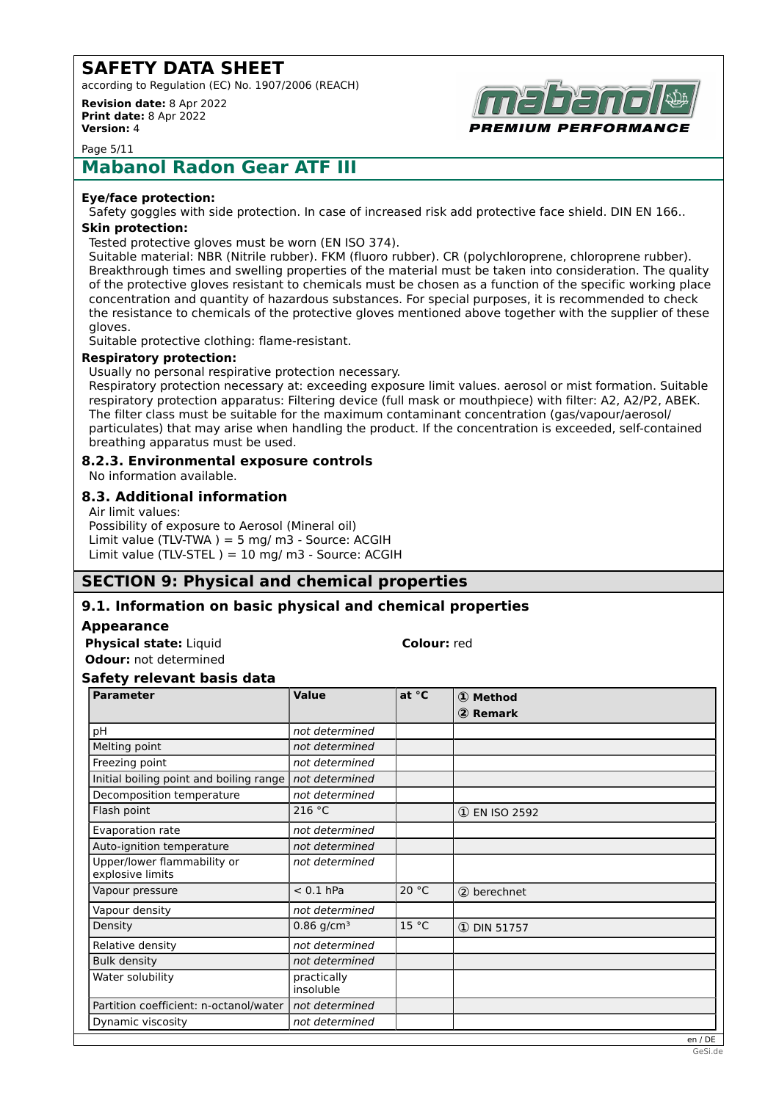according to Regulation (EC) No. 1907/2006 (REACH)

**Revision date:** 8 Apr 2022 **Print date:** 8 Apr 2022 **Version:** 4



Page 5/11

# **Mabanol Radon Gear ATF III**

#### **Eye/face protection:**

Safety goggles with side protection. In case of increased risk add protective face shield. DIN EN 166..

## **Skin protection:**

Tested protective gloves must be worn (EN ISO 374).

Suitable material: NBR (Nitrile rubber). FKM (fluoro rubber). CR (polychloroprene, chloroprene rubber). Breakthrough times and swelling properties of the material must be taken into consideration. The quality of the protective gloves resistant to chemicals must be chosen as a function of the specific working place concentration and quantity of hazardous substances. For special purposes, it is recommended to check the resistance to chemicals of the protective gloves mentioned above together with the supplier of these gloves.

Suitable protective clothing: flame-resistant.

#### **Respiratory protection:**

Usually no personal respirative protection necessary. Respiratory protection necessary at: exceeding exposure limit values. aerosol or mist formation. Suitable respiratory protection apparatus: Filtering device (full mask or mouthpiece) with filter: A2, A2/P2, ABEK. The filter class must be suitable for the maximum contaminant concentration (gas/vapour/aerosol/ particulates) that may arise when handling the product. If the concentration is exceeded, self-contained breathing apparatus must be used.

#### **8.2.3. Environmental exposure controls**

No information available.

#### **8.3. Additional information**

Air limit values: Possibility of exposure to Aerosol (Mineral oil) Limit value (TLV-TWA) = 5 mg/ m3 - Source: ACGIH Limit value (TLV-STEL ) =  $10$  mg/ m3 - Source: ACGIH

## **SECTION 9: Physical and chemical properties**

#### **9.1. Information on basic physical and chemical properties**

#### **Appearance**

**Physical state:** Liquid **Colour:** red **Odour:** not determined

#### **Safety relevant basis data**

| <b>Parameter</b>                                | Value                    | at °C | ① Method        |
|-------------------------------------------------|--------------------------|-------|-----------------|
|                                                 |                          |       | 2 Remark        |
| pH                                              | not determined           |       |                 |
| Melting point                                   | not determined           |       |                 |
| Freezing point                                  | not determined           |       |                 |
| Initial boiling point and boiling range         | not determined           |       |                 |
| Decomposition temperature                       | not determined           |       |                 |
| Flash point                                     | 216 °C                   |       | 1 EN ISO 2592   |
| Evaporation rate                                | not determined           |       |                 |
| Auto-ignition temperature                       | not determined           |       |                 |
| Upper/lower flammability or<br>explosive limits | not determined           |       |                 |
| Vapour pressure                                 | $< 0.1$ hPa              | 20 °C | 2 berechnet     |
| Vapour density                                  | not determined           |       |                 |
| Density                                         | $0.86$ g/cm <sup>3</sup> | 15 °C | $(D)$ DIN 51757 |
| Relative density                                | not determined           |       |                 |
| <b>Bulk density</b>                             | not determined           |       |                 |
| Water solubility                                | practically<br>insoluble |       |                 |
| Partition coefficient: n-octanol/water          | not determined           |       |                 |
| Dynamic viscosity                               | not determined           |       |                 |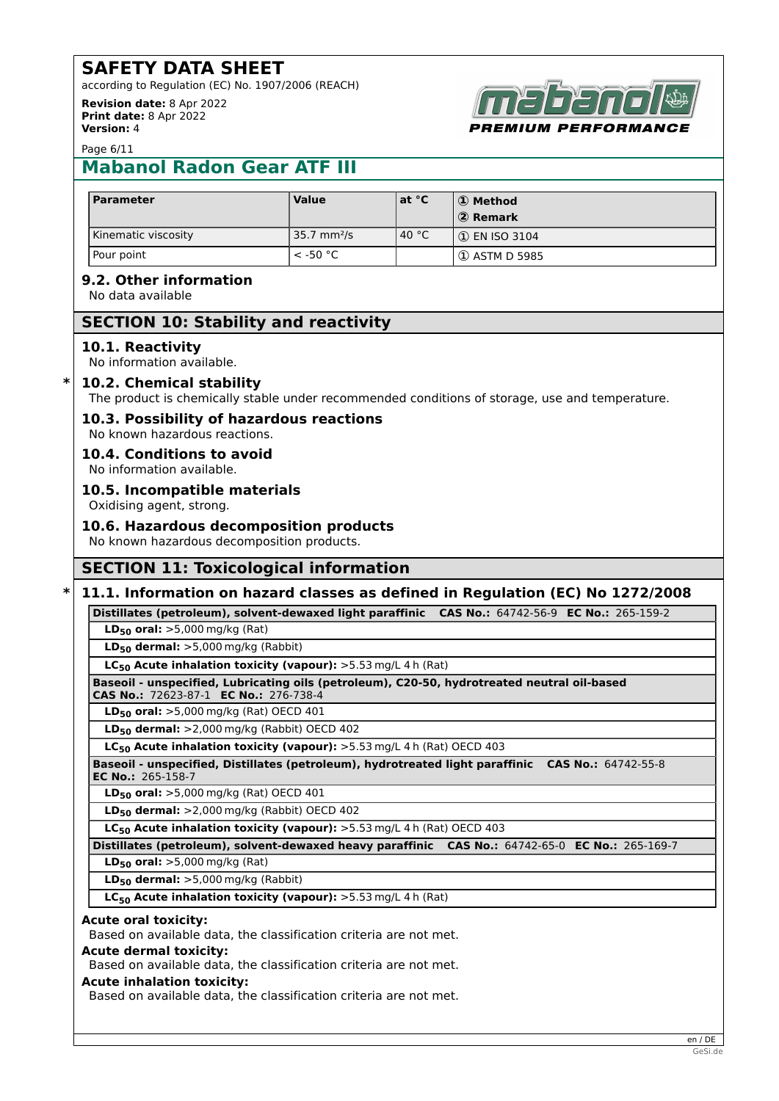according to Regulation (EC) No. 1907/2006 (REACH) **Revision date:** 8 Apr 2022

**Print date:** 8 Apr 2022 **Version:** 4



Page 6/11

# **Mabanol Radon Gear ATF III**

| <b>Parameter</b>    | <b>Value</b>            | lat °C          | <b>D</b> Method<br>2 Remark |
|---------------------|-------------------------|-----------------|-----------------------------|
| Kinematic viscosity | 35.7 mm <sup>2</sup> /s | 40 $^{\circ}$ C | $\vert$ (1) EN ISO 3104     |
| Pour point          | $<$ -50 °C              |                 | (① ASTM D 5985              |

## **9.2. Other information**

No data available

## **SECTION 10: Stability and reactivity**

#### **10.1. Reactivity**

No information available.

#### **\* 10.2. Chemical stability**

The product is chemically stable under recommended conditions of storage, use and temperature.

## **10.3. Possibility of hazardous reactions**

No known hazardous reactions.

**10.4. Conditions to avoid** No information available.

#### **10.5. Incompatible materials**

Oxidising agent, strong.

#### **10.6. Hazardous decomposition products**

No known hazardous decomposition products.

## **SECTION 11: Toxicological information**

## **\* 11.1. Information on hazard classes as defined in Regulation (EC) No 1272/2008**

**Distillates (petroleum), solvent-dewaxed light paraffinic CAS No.:** 64742-56-9 **EC No.:** 265-159-2

**LD50 oral:** >5,000 mg/kg (Rat)

**LD50 dermal:** >5,000 mg/kg (Rabbit)

**LC50 Acute inhalation toxicity (vapour):** >5.53 mg/L 4 h (Rat)

#### **Baseoil - unspecified, Lubricating oils (petroleum), C20-50, hydrotreated neutral oil-based**

**CAS No.:** 72623-87-1 **EC No.:** 276-738-4 **LD50 oral:** >5,000 mg/kg (Rat) OECD 401

**LD50 dermal:** >2,000 mg/kg (Rabbit) OECD 402

**LC50 Acute inhalation toxicity (vapour):** >5.53 mg/L 4 h (Rat) OECD 403

**Baseoil - unspecified, Distillates (petroleum), hydrotreated light paraffinic CAS No.:** 64742-55-8 **EC No.:** 265-158-7

**LD50 oral:** >5,000 mg/kg (Rat) OECD 401

**LD50 dermal:** >2,000 mg/kg (Rabbit) OECD 402

**LC50 Acute inhalation toxicity (vapour):** >5.53 mg/L 4 h (Rat) OECD 403

**Distillates (petroleum), solvent-dewaxed heavy paraffinic CAS No.:** 64742-65-0 **EC No.:** 265-169-7

**LD50 oral:** >5,000 mg/kg (Rat)

**LD50 dermal:** >5,000 mg/kg (Rabbit)

**LC50 Acute inhalation toxicity (vapour):** >5.53 mg/L 4 h (Rat)

#### **Acute oral toxicity:**

Based on available data, the classification criteria are not met.

### **Acute dermal toxicity:**

Based on available data, the classification criteria are not met.

#### **Acute inhalation toxicity:**

Based on available data, the classification criteria are not met.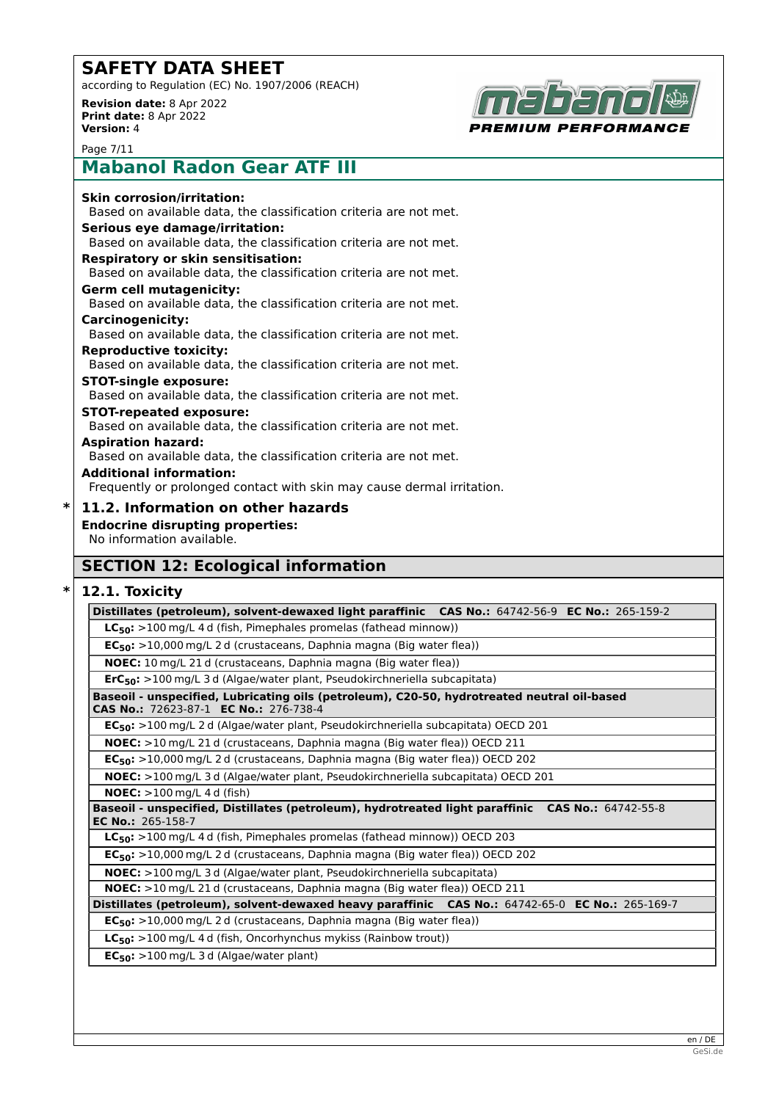according to Regulation (EC) No. 1907/2006 (REACH) **Revision date:** 8 Apr 2022

**Print date:** 8 Apr 2022 **Version:** 4



Page 7/11

# **Mabanol Radon Gear ATF III**

| <b>Skin corrosion/irritation:</b>                                      |
|------------------------------------------------------------------------|
| Based on available data, the classification criteria are not met.      |
| Serious eye damage/irritation:                                         |
| Based on available data, the classification criteria are not met.      |
| <b>Respiratory or skin sensitisation:</b>                              |
| Based on available data, the classification criteria are not met.      |
| <b>Germ cell mutagenicity:</b>                                         |
| Based on available data, the classification criteria are not met.      |
| <b>Carcinogenicity:</b>                                                |
| Based on available data, the classification criteria are not met.      |
| <b>Reproductive toxicity:</b>                                          |
| Based on available data, the classification criteria are not met.      |
| <b>STOT-single exposure:</b>                                           |
| Based on available data, the classification criteria are not met.      |
| <b>STOT-repeated exposure:</b>                                         |
| Based on available data, the classification criteria are not met.      |
| <b>Aspiration hazard:</b>                                              |
| Based on available data, the classification criteria are not met.      |
| <b>Additional information:</b>                                         |
| Frequently or prolonged contact with skin may cause dermal irritation. |
|                                                                        |

**\* 11.2. Information on other hazards Endocrine disrupting properties:** No information available.

## **SECTION 12: Ecological information**

#### **\* 12.1. Toxicity**

**Distillates (petroleum), solvent-dewaxed light paraffinic CAS No.:** 64742-56-9 **EC No.:** 265-159-2 **LC50:** >100 mg/L 4 d (fish, Pimephales promelas (fathead minnow)) **EC50:** >10,000 mg/L 2 d (crustaceans, Daphnia magna (Big water flea)) **NOEC:** 10 mg/L 21 d (crustaceans, Daphnia magna (Big water flea)) **ErC50:** >100 mg/L 3 d (Algae/water plant, Pseudokirchneriella subcapitata) **Baseoil - unspecified, Lubricating oils (petroleum), C20-50, hydrotreated neutral oil-based CAS No.:** 72623-87-1 **EC No.:** 276-738-4 **EC50:** >100 mg/L 2 d (Algae/water plant, Pseudokirchneriella subcapitata) OECD 201 **NOEC:** >10 mg/L 21 d (crustaceans, Daphnia magna (Big water flea)) OECD 211 **EC50:** >10,000 mg/L 2 d (crustaceans, Daphnia magna (Big water flea)) OECD 202 **NOEC:** >100 mg/L 3 d (Algae/water plant, Pseudokirchneriella subcapitata) OECD 201 **NOEC:** >100 mg/L 4 d (fish) **Baseoil - unspecified, Distillates (petroleum), hydrotreated light paraffinic CAS No.:** 64742-55-8 **EC No.:** 265-158-7 **LC50:** >100 mg/L 4 d (fish, Pimephales promelas (fathead minnow)) OECD 203 **EC50:** >10,000 mg/L 2 d (crustaceans, Daphnia magna (Big water flea)) OECD 202 **NOEC:** >100 mg/L 3 d (Algae/water plant, Pseudokirchneriella subcapitata) **NOEC:** >10 mg/L 21 d (crustaceans, Daphnia magna (Big water flea)) OECD 211 **Distillates (petroleum), solvent-dewaxed heavy paraffinic CAS No.:** 64742-65-0 **EC No.:** 265-169-7 **EC50:** >10,000 mg/L 2 d (crustaceans, Daphnia magna (Big water flea)) **LC50:** >100 mg/L 4 d (fish, Oncorhynchus mykiss (Rainbow trout)) **EC50:** >100 mg/L 3 d (Algae/water plant)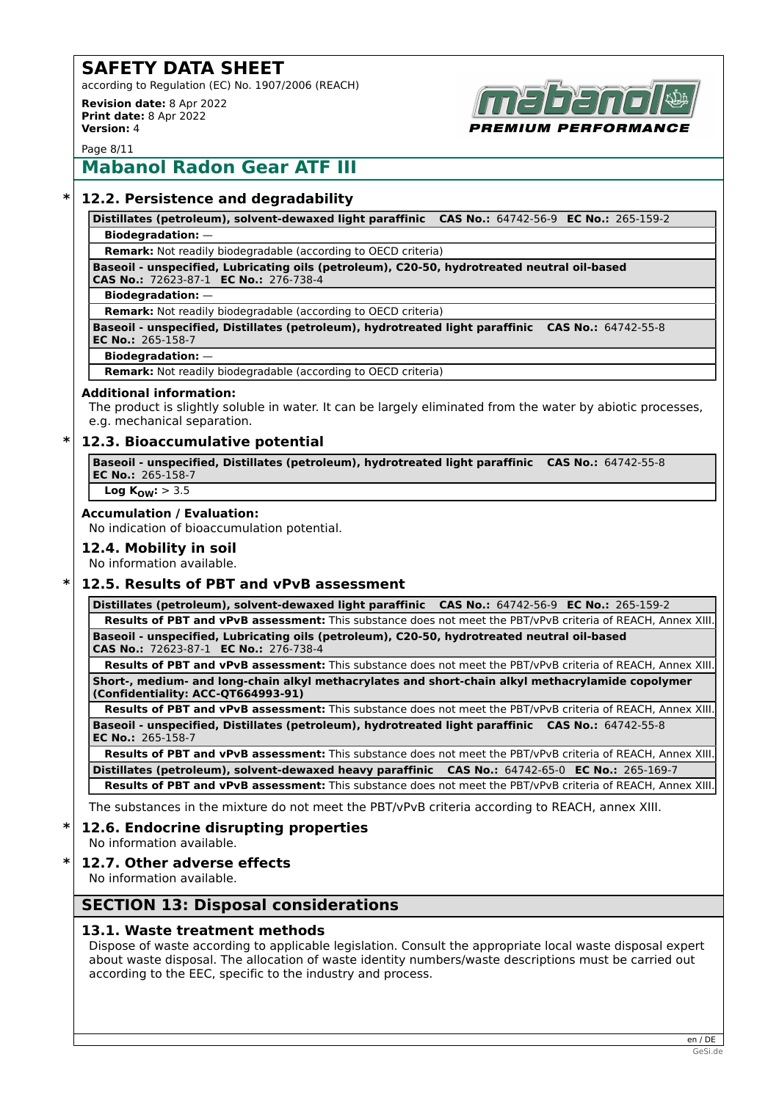according to Regulation (EC) No. 1907/2006 (REACH)

**Revision date:** 8 Apr 2022 **Print date:** 8 Apr 2022 **Version:** 4



Page 8/11

# **Mabanol Radon Gear ATF III**

### **\* 12.2. Persistence and degradability**

**Distillates (petroleum), solvent-dewaxed light paraffinic CAS No.:** 64742-56-9 **EC No.:** 265-159-2 **Biodegradation:** —

**Remark:** Not readily biodegradable (according to OECD criteria)

**Baseoil - unspecified, Lubricating oils (petroleum), C20-50, hydrotreated neutral oil-based CAS No.:** 72623-87-1 **EC No.:** 276-738-4

#### **Biodegradation:** —

**Remark:** Not readily biodegradable (according to OECD criteria)

**Baseoil - unspecified, Distillates (petroleum), hydrotreated light paraffinic CAS No.:** 64742-55-8 **EC No.:** 265-158-7

#### **Biodegradation:** —

**Remark:** Not readily biodegradable (according to OECD criteria)

#### **Additional information:**

The product is slightly soluble in water. It can be largely eliminated from the water by abiotic processes, e.g. mechanical separation.

#### **\* 12.3. Bioaccumulative potential**

**Baseoil - unspecified, Distillates (petroleum), hydrotreated light paraffinic CAS No.:** 64742-55-8 **EC No.:** 265-158-7

**Log KOW:** > 3.5

#### **Accumulation / Evaluation:**

No indication of bioaccumulation potential.

**12.4. Mobility in soil**

No information available.

## **\* 12.5. Results of PBT and vPvB assessment**

**Distillates (petroleum), solvent-dewaxed light paraffinic CAS No.:** 64742-56-9 **EC No.:** 265-159-2 **Results of PBT and vPvB assessment:** This substance does not meet the PBT/vPvB criteria of REACH, Annex XIII. **Baseoil - unspecified, Lubricating oils (petroleum), C20-50, hydrotreated neutral oil-based CAS No.:** 72623-87-1 **EC No.:** 276-738-4

**Results of PBT and vPvB assessment:** This substance does not meet the PBT/vPvB criteria of REACH, Annex XIII. **Short-, medium- and long-chain alkyl methacrylates and short-chain alkyl methacrylamide copolymer**

**(Confidentiality: ACC-QT664993-91) Results of PBT and vPvB assessment:** This substance does not meet the PBT/vPvB criteria of REACH, Annex XIII. **Baseoil - unspecified, Distillates (petroleum), hydrotreated light paraffinic CAS No.:** 64742-55-8 **EC No.:** 265-158-7

**Results of PBT and vPvB assessment:** This substance does not meet the PBT/vPvB criteria of REACH, Annex XIII. **Distillates (petroleum), solvent-dewaxed heavy paraffinic CAS No.:** 64742-65-0 **EC No.:** 265-169-7 **Results of PBT and vPvB assessment:** This substance does not meet the PBT/vPvB criteria of REACH, Annex XIII.

The substances in the mixture do not meet the PBT/vPvB criteria according to REACH, annex XIII.

## **\* 12.6. Endocrine disrupting properties**

No information available.

#### **\* 12.7. Other adverse effects**

No information available.

## **SECTION 13: Disposal considerations**

#### **13.1. Waste treatment methods**

Dispose of waste according to applicable legislation. Consult the appropriate local waste disposal expert about waste disposal. The allocation of waste identity numbers/waste descriptions must be carried out according to the EEC, specific to the industry and process.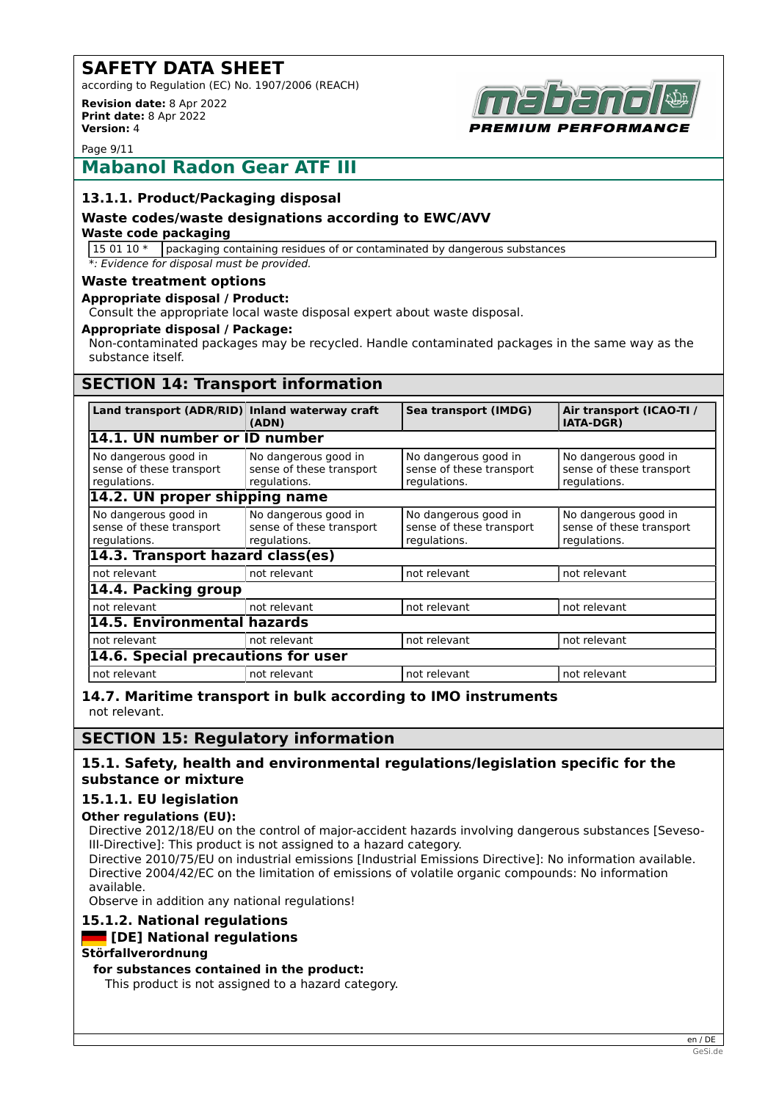according to Regulation (EC) No. 1907/2006 (REACH)

**Revision date:** 8 Apr 2022 **Print date:** 8 Apr 2022 **Version:** 4



Page 9/11

## **Mabanol Radon Gear ATF III**

### **13.1.1. Product/Packaging disposal**

#### **Waste codes/waste designations according to EWC/AVV**

#### **Waste code packaging**

 $150110*$  packaging containing residues of or contaminated by dangerous substances *\*: Evidence for disposal must be provided.*

#### **Waste treatment options**

#### **Appropriate disposal / Product:**

Consult the appropriate local waste disposal expert about waste disposal.

#### **Appropriate disposal / Package:**

Non-contaminated packages may be recycled. Handle contaminated packages in the same way as the substance itself.

## **SECTION 14: Transport information**

| Land transport (ADR/RID) Inland waterway craft                   | (ADN)                                                            | Sea transport (IMDG)                                             | Air transport (ICAO-TI /<br><b>IATA-DGR)</b>                     |
|------------------------------------------------------------------|------------------------------------------------------------------|------------------------------------------------------------------|------------------------------------------------------------------|
| 14.1. UN number or ID number                                     |                                                                  |                                                                  |                                                                  |
| No dangerous good in<br>sense of these transport<br>regulations. | No dangerous good in<br>sense of these transport<br>regulations. | No dangerous good in<br>sense of these transport<br>regulations. | No dangerous good in<br>sense of these transport<br>regulations. |
| 14.2. UN proper shipping name                                    |                                                                  |                                                                  |                                                                  |
| No dangerous good in<br>sense of these transport<br>regulations. | No dangerous good in<br>sense of these transport<br>regulations. | No dangerous good in<br>sense of these transport<br>regulations. | No dangerous good in<br>sense of these transport<br>regulations. |
| 14.3. Transport hazard class(es)                                 |                                                                  |                                                                  |                                                                  |
| not relevant                                                     | not relevant                                                     | not relevant                                                     | not relevant                                                     |
| 14.4. Packing group                                              |                                                                  |                                                                  |                                                                  |
| not relevant                                                     | not relevant                                                     | not relevant                                                     | not relevant                                                     |
| 14.5. Environmental hazards                                      |                                                                  |                                                                  |                                                                  |
| not relevant                                                     | not relevant                                                     | not relevant                                                     | not relevant                                                     |
| 14.6. Special precautions for user                               |                                                                  |                                                                  |                                                                  |
| not relevant                                                     | not relevant                                                     | not relevant                                                     | not relevant                                                     |

**14.7. Maritime transport in bulk according to IMO instruments** not relevant.

## **SECTION 15: Regulatory information**

#### **15.1. Safety, health and environmental regulations/legislation specific for the substance or mixture**

## **15.1.1. EU legislation**

## **Other regulations (EU):**

Directive 2012/18/EU on the control of major-accident hazards involving dangerous substances [Seveso-III-Directive]: This product is not assigned to a hazard category.

Directive 2010/75/EU on industrial emissions [Industrial Emissions Directive]: No information available. Directive 2004/42/EC on the limitation of emissions of volatile organic compounds: No information available.

Observe in addition any national regulations!

## **15.1.2. National regulations**

## **[DE] National regulations**

#### **Störfallverordnung**

**for substances contained in the product:**

This product is not assigned to a hazard category.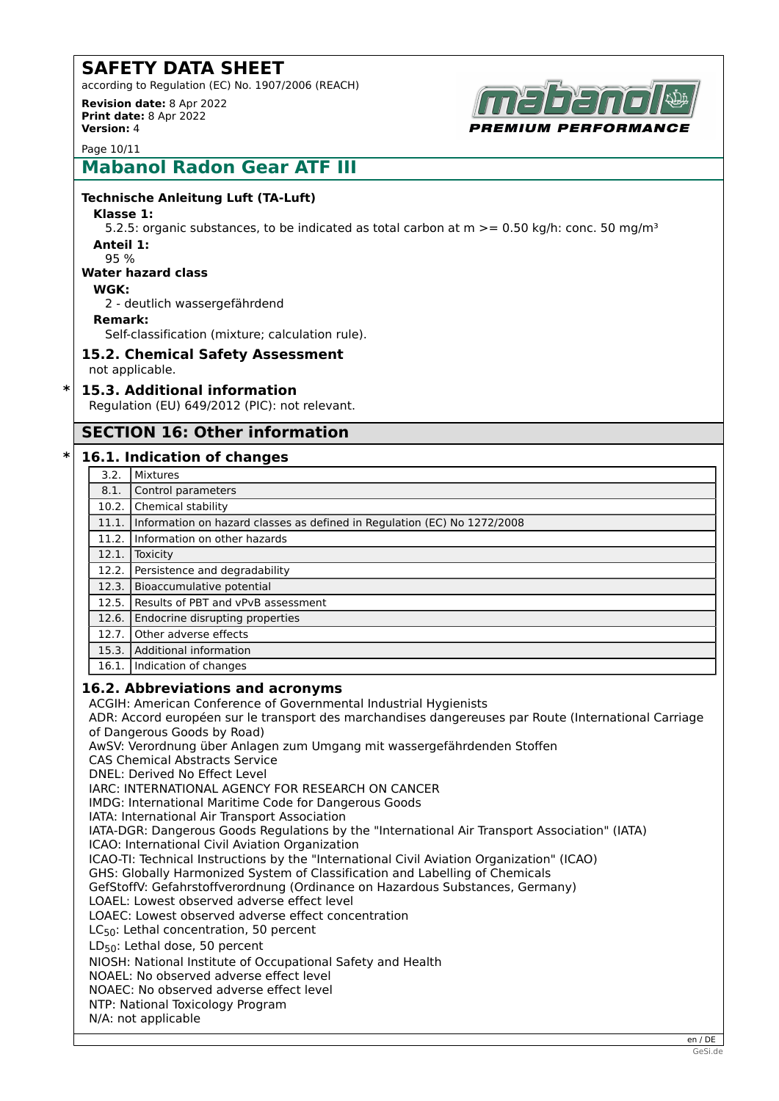according to Regulation (EC) No. 1907/2006 (REACH) **Revision date:** 8 Apr 2022

**Print date:** 8 Apr 2022 **Version:** 4



Page 10/11

# **Mabanol Radon Gear ATF III**

#### **Technische Anleitung Luft (TA-Luft)**

**Klasse 1:**

5.2.5: organic substances, to be indicated as total carbon at  $m \ge 0.50$  kg/h: conc. 50 mg/m<sup>3</sup> **Anteil 1:**

95 %

#### **Water hazard class**

#### **WGK:**

2 - deutlich wassergefährdend

#### **Remark:**

Self-classification (mixture; calculation rule).

### **15.2. Chemical Safety Assessment**

not applicable.

### **\* 15.3. Additional information**

Regulation (EU) 649/2012 (PIC): not relevant.

## **SECTION 16: Other information**

#### **\* 16.1. Indication of changes**

- 3.2. Mixtures
- 8.1. Control parameters
- 10.2. Chemical stability 11.1. Information on hazard classes as defined in Regulation (EC) No 1272/2008 11.2. Information on other hazards 12.1. Toxicity 12.2. Persistence and degradability 12.3. Bioaccumulative potential 12.5. Results of PBT and vPvB assessment 12.6. Endocrine disrupting properties 12.7. Other adverse effects 15.3. Additional information 16.1. Indication of changes

#### **16.2. Abbreviations and acronyms**

ACGIH: American Conference of Governmental Industrial Hygienists

ADR: Accord européen sur le transport des marchandises dangereuses par Route (International Carriage of Dangerous Goods by Road)

AwSV: Verordnung über Anlagen zum Umgang mit wassergefährdenden Stoffen

CAS Chemical Abstracts Service

DNEL: Derived No Effect Level

IARC: INTERNATIONAL AGENCY FOR RESEARCH ON CANCER

IMDG: International Maritime Code for Dangerous Goods

IATA: International Air Transport Association

IATA-DGR: Dangerous Goods Regulations by the "International Air Transport Association" (IATA)

ICAO: International Civil Aviation Organization

ICAO-TI: Technical Instructions by the "International Civil Aviation Organization" (ICAO)

GHS: Globally Harmonized System of Classification and Labelling of Chemicals

GefStoffV: Gefahrstoffverordnung (Ordinance on Hazardous Substances, Germany)

LOAEL: Lowest observed adverse effect level

LOAEC: Lowest observed adverse effect concentration

 $LC_{50}$ : Lethal concentration, 50 percent

 $LD_{50}$ : Lethal dose, 50 percent

NIOSH: National Institute of Occupational Safety and Health

NOAEL: No observed adverse effect level

NOAEC: No observed adverse effect level

NTP: National Toxicology Program

N/A: not applicable